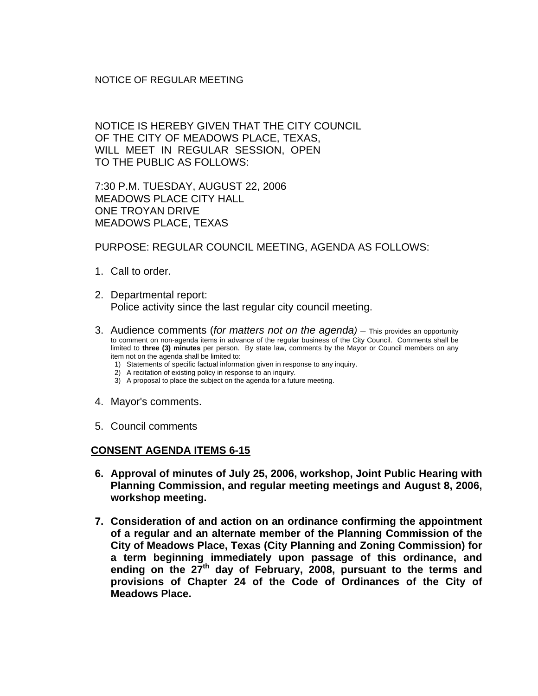## NOTICE OF REGULAR MEETING

NOTICE IS HEREBY GIVEN THAT THE CITY COUNCIL OF THE CITY OF MEADOWS PLACE, TEXAS, WILL MEET IN REGULAR SESSION, OPEN TO THE PUBLIC AS FOLLOWS:

7:30 P.M. TUESDAY, AUGUST 22, 2006 MEADOWS PLACE CITY HALL ONE TROYAN DRIVE MEADOWS PLACE, TEXAS

PURPOSE: REGULAR COUNCIL MEETING, AGENDA AS FOLLOWS:

- 1. Call to order.
- 2. Departmental report: Police activity since the last regular city council meeting.
- 3. Audience comments (*for matters not on the agenda)* This provides an opportunity to comment on non-agenda items in advance of the regular business of the City Council. Comments shall be limited to **three (3) minutes** per person. By state law, comments by the Mayor or Council members on any item not on the agenda shall be limited to:
	- 1) Statements of specific factual information given in response to any inquiry.
	- 2) A recitation of existing policy in response to an inquiry.
	- 3) A proposal to place the subject on the agenda for a future meeting.
- 4. Mayor's comments.
- 5. Council comments

## **CONSENT AGENDA ITEMS 6-15**

- **6. Approval of minutes of July 25, 2006, workshop, Joint Public Hearing with Planning Commission, and regular meeting meetings and August 8, 2006, workshop meeting.**
- **7. Consideration of and action on an ordinance confirming the appointment of a regular and an alternate member of the Planning Commission of the City of Meadows Place, Texas (City Planning and Zoning Commission) for a term beginning immediately upon passage of this ordinance, and**  ending on the 27<sup>th</sup> day of February, 2008, pursuant to the terms and **provisions of Chapter 24 of the Code of Ordinances of the City of Meadows Place.**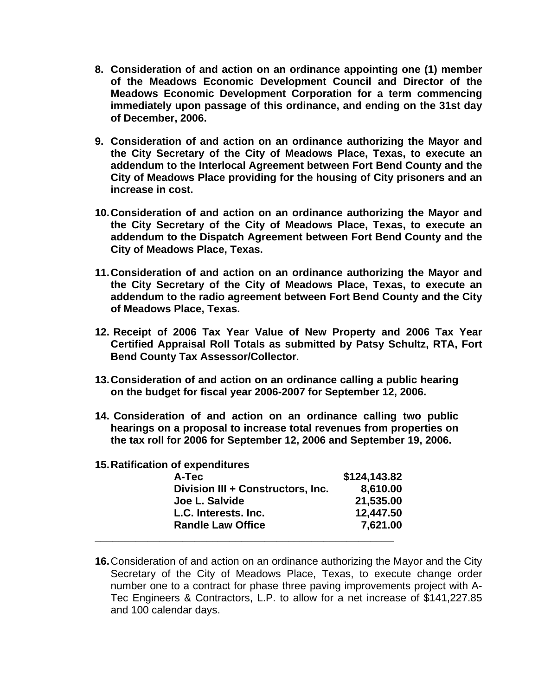- **8. Consideration of and action on an ordinance appointing one (1) member of the Meadows Economic Development Council and Director of the Meadows Economic Development Corporation for a term commencing immediately upon passage of this ordinance, and ending on the 31st day of December, 2006.**
- **9. Consideration of and action on an ordinance authorizing the Mayor and the City Secretary of the City of Meadows Place, Texas, to execute an addendum to the Interlocal Agreement between Fort Bend County and the City of Meadows Place providing for the housing of City prisoners and an increase in cost.**
- **10. Consideration of and action on an ordinance authorizing the Mayor and the City Secretary of the City of Meadows Place, Texas, to execute an addendum to the Dispatch Agreement between Fort Bend County and the City of Meadows Place, Texas.**
- **11. Consideration of and action on an ordinance authorizing the Mayor and the City Secretary of the City of Meadows Place, Texas, to execute an addendum to the radio agreement between Fort Bend County and the City of Meadows Place, Texas.**
- **12. Receipt of 2006 Tax Year Value of New Property and 2006 Tax Year Certified Appraisal Roll Totals as submitted by Patsy Schultz, RTA, Fort Bend County Tax Assessor/Collector.**
- **13. Consideration of and action on an ordinance calling a public hearing on the budget for fiscal year 2006-2007 for September 12, 2006.**
- **14. Consideration of and action on an ordinance calling two public hearings on a proposal to increase total revenues from properties on the tax roll for 2006 for September 12, 2006 and September 19, 2006.**
- **15. Ratification of expenditures**

| A-Tec                             | \$124,143.82 |
|-----------------------------------|--------------|
| Division III + Constructors, Inc. | 8,610.00     |
| Joe L. Salvide                    | 21,535.00    |
| L.C. Interests. Inc.              | 12,447.50    |
| <b>Randle Law Office</b>          | 7,621.00     |
|                                   |              |

**16.** Consideration of and action on an ordinance authorizing the Mayor and the City Secretary of the City of Meadows Place, Texas, to execute change order number one to a contract for phase three paving improvements project with A-Tec Engineers & Contractors, L.P. to allow for a net increase of \$141,227.85 and 100 calendar days.